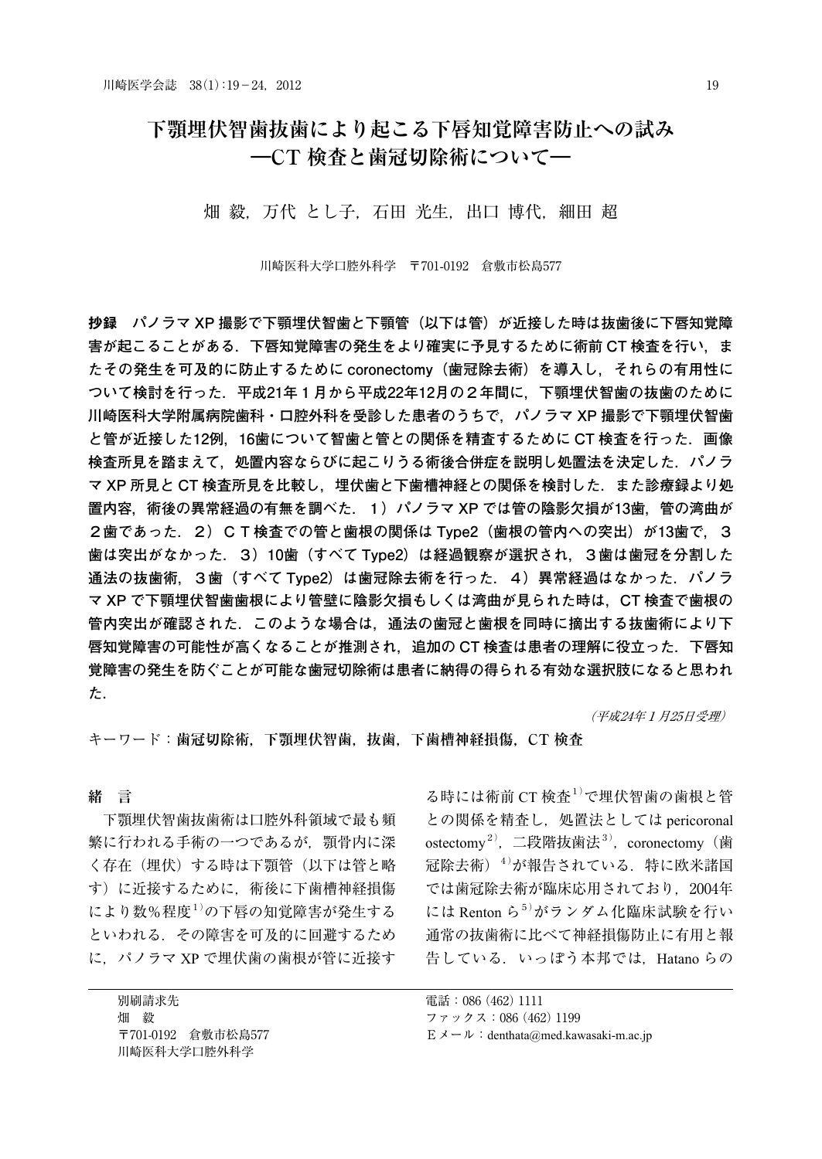### **下顎埋伏智歯抜歯により起こる下唇知覚障害防止への試み ―CT 検査と歯冠切除術について―**

畑 毅, 万代 とし子, 石田 光生, 出口 博代, 細田 超

川崎医科大学口腔外科学 〒701-0192 倉敷市松島577

抄録 **パノラマ XP 撮影で下顎埋伏智歯と下顎管(以下は管)が近接した時は抜歯後に下唇知覚障 害が起こることがある.下唇知覚障害の発生をより確実に予見するために術前 CT 検査を行い,ま たその発生を可及的に防止するために coronectomy(歯冠除去術)を導入し,それらの有用性に ついて検討を行った.平成21年1月から平成22年12月の2年間に,下顎埋伏智歯の抜歯のために 川崎医科大学附属病院歯科・口腔外科を受診した患者のうちで,パノラマ XP 撮影で下顎埋伏智歯 と管が近接した12例,16歯について智歯と管との関係を精査するために CT 検査を行った.画像 検査所見を踏まえて,処置内容ならびに起こりうる術後合併症を説明し処置法を決定した.パノラ マ XP 所見と CT 検査所見を比較し,埋伏歯と下歯槽神経との関係を検討した.また診療録より処 置内容,術後の異常経過の有無を調べた.1)パノラマ XP では管の陰影欠損が13歯,管の湾曲が 2歯であった.2)C T 検査での管と歯根の関係は Type2(歯根の管内への突出)が13歯で,3 歯は突出がなかった.3)10歯(すべて Type2)は経過観察が選択され,3歯は歯冠を分割した 通法の抜歯術,3歯(すべて Type2)は歯冠除去術を行った.4)異常経過はなかった.パノラ マ XP で下顎埋伏智歯歯根により管壁に陰影欠損もしくは湾曲が見られた時は,CT 検査で歯根の 管内突出が確認された.このような場合は,通法の歯冠と歯根を同時に摘出する抜歯術により下 唇知覚障害の可能性が高くなることが推測され,追加の CT 検査は患者の理解に役立った.下唇知 覚障害の発生を防ぐことが可能な歯冠切除術は患者に納得の得られる有効な選択肢になると思われ た.**

(平成24年1月25日受理)

キーワード:**歯冠切除術,下顎埋伏智歯,抜歯,下歯槽神経損傷,CT 検査**

**緒 言**

下顎埋伏智歯抜歯術は口腔外科領域で最も頻 繁に行われる手術の一つであるが,顎骨内に深 く存在(埋伏)する時は下顎管(以下は管と略 す)に近接するために,術後に下歯槽神経損傷 により数%程度1) の下唇の知覚障害が発生する といわれる.その障害を可及的に回避するため に,パノラマ XP で埋伏歯の歯根が管に近接す

別刷請求先 畑 毅 〒701-0192 倉敷市松島577 川崎医科大学口腔外科学

る時には術前 CT 検査1) で埋伏智歯の歯根と管 との関係を精査し,処置法としては pericoronal ostectomy<sup>2)</sup>,二段階抜歯法<sup>3)</sup>,coronectomy(歯 冠除去術)<sup>4)</sup>が報告されている.特に欧米諸国 では歯冠除去術が臨床応用されており,2004年 には Renton ら5)がランダム化臨床試験を行い 通常の抜歯術に比べて神経損傷防止に有用と報 告している. いっぽう本邦では. Hatano らの

電話:086(462)1111

ファックス:086(462)1199

 $E \times -\nu$ : denthata@med.kawasaki-m.ac.jp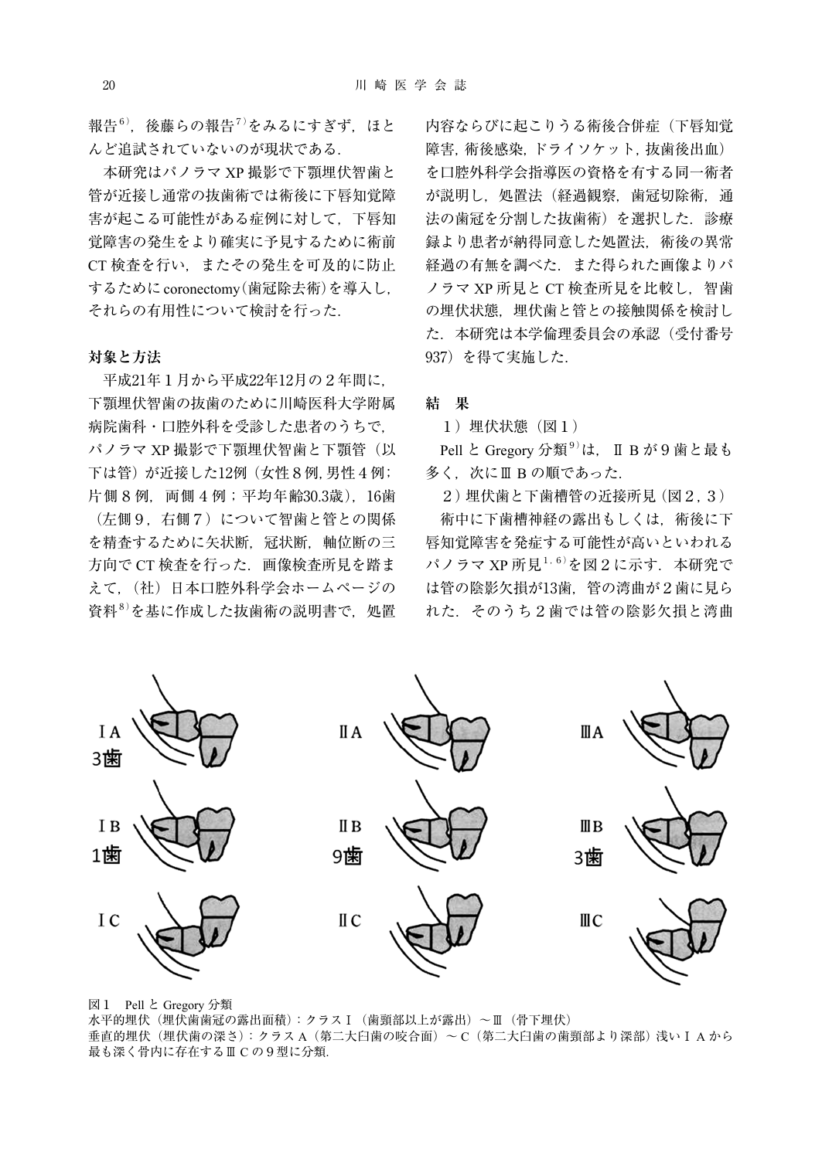報告 $^{6)}$ ,後藤らの報告 $^{7)}$ をみるにすぎず,ほと んど追試されていないのが現状である.

本研究はパノラマ XP 撮影で下顎埋伏智歯と 管が近接し通常の抜歯術では術後に下唇知覚障 害が起こる可能性がある症例に対して,下唇知 覚障害の発生をより確実に予見するために術前 CT 検査を行い,またその発生を可及的に防止 するためにcoronectomy (歯冠除去術)を導入し, それらの有用性について検討を行った.

#### **対象と方法**

平成21年1月から平成22年12月の2年間に, 下顎埋伏智歯の抜歯のために川崎医科大学附属 病院歯科・口腔外科を受診した患者のうちで, パノラマ XP 撮影で下顎埋伏智歯と下顎管(以 下は管)が近接した12例(女性8例,男性4例; 片側8例, 両側4例;平均年齢30.3歳), 16歯 (左側9,右側7)について智歯と管との関係 を精査するために矢状断,冠状断,軸位断の三 方向で CT 検査を行った.画像検査所見を踏ま えて,(社)日本口腔外科学会ホームページの 資料<sup>8)</sup>を基に作成した抜歯術の説明書で,処置

内容ならびに起こりうる術後合併症(下唇知覚 障害,術後感染,ドライソケット,抜歯後出血) を口腔外科学会指導医の資格を有する同一術者 が説明し,処置法(経過観察,歯冠切除術,通 法の歯冠を分割した抜歯術)を選択した.診療 録より患者が納得同意した処置法,術後の異常 経過の有無を調べた.また得られた画像よりパ ノラマ XP 所見と CT 検査所見を比較し、智歯 の埋伏状態、埋伏歯と管との接触関係を検討し た.本研究は本学倫理委員会の承認(受付番号 937)を得て実施した.

### **結 果**

1)埋伏状態(図1)

Pell と Gregory 分類<sup>9)</sup>は,Ⅱ B が 9 歯と最も 多く. 次にⅢ B の順であった.

2)埋伏歯と下歯槽管の近接所見(図2,3) 術中に下歯槽神経の露出もしくは,術後に下 唇知覚障害を発症する可能性が高いといわれる パノラマ XP 所見<sup>1, 6)</sup>を図2に示す.本研究で は管の陰影欠損が13歯,管の湾曲が2歯に見ら れた.そのうち2歯では管の陰影欠損と湾曲

I A II A ШA 3歯 II B ШB I B 1歯 9歯 3歯 I C II C ШC

図1 Pell と Gregory 分類

水平的埋伏(埋伏歯歯冠の露出面積):クラスⅠ(歯頸部以上が露出)~Ⅲ(骨下埋伏) 垂直的埋伏(埋伏歯の深さ):クラス A(第二大臼歯の咬合面)~ C(第二大臼歯の歯頸部より深部)浅いⅠ A から 最も深く骨内に存在するⅢ C の9型に分類.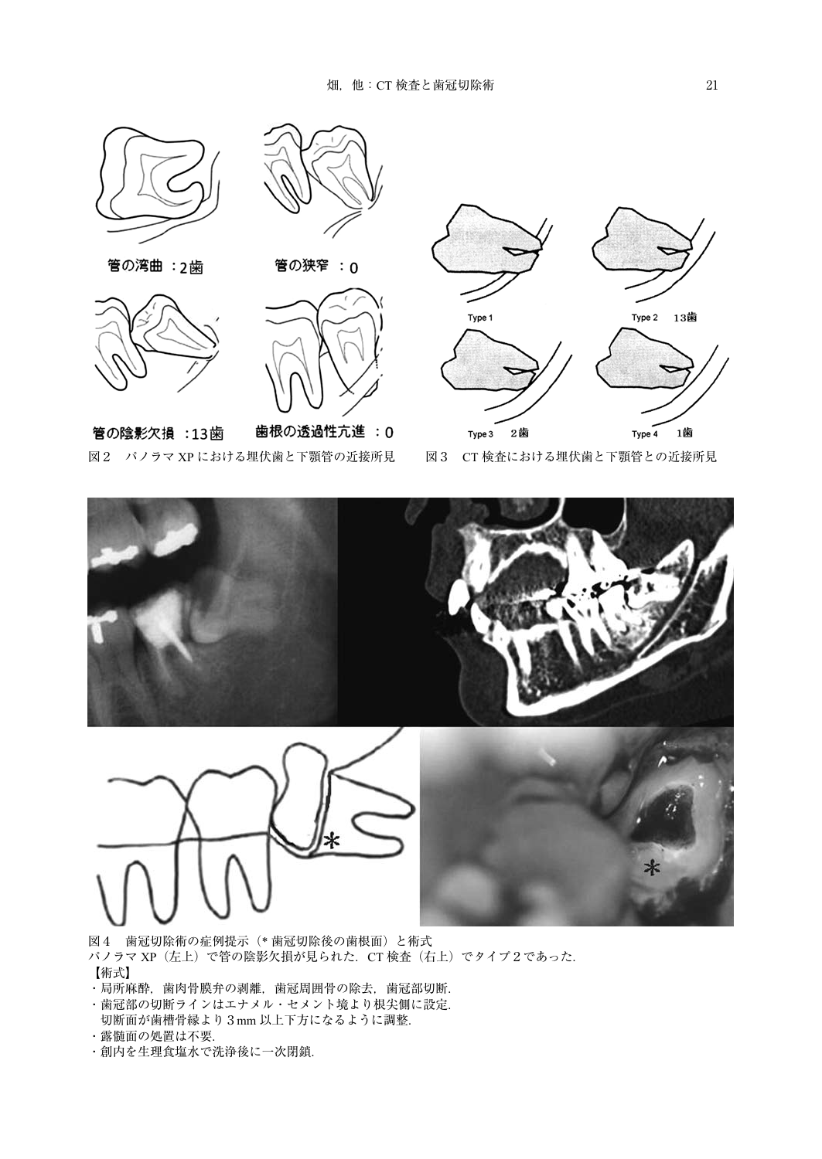



管の湾曲 : 2歯

管の陰影欠損 :13歯





管の狭窄 : 0

歯根の透過性亢進:0



図2 パノラマ XP における埋伏歯と下顎管の近接所見 図3 CT 検査における埋伏歯と下顎管との近接所見



図4 歯冠切除術の症例提示(\* 歯冠切除後の歯根面)と術式

- パノラマ XP (左上)で管の陰影欠損が見られた. CT 検査 (右上) でタイプ2であった. 【術式】
- ・局所麻酔,歯肉骨膜弁の剥離,歯冠周囲骨の除去,歯冠部切断.
- ・歯冠部の切断ラインはエナメル・セメント境より根尖側に設定.
- 切断面が歯槽骨縁より3mm 以上下方になるように調整. ・露髄面の処置は不要.
- ・創内を生理食塩水で洗浄後に一次閉鎖.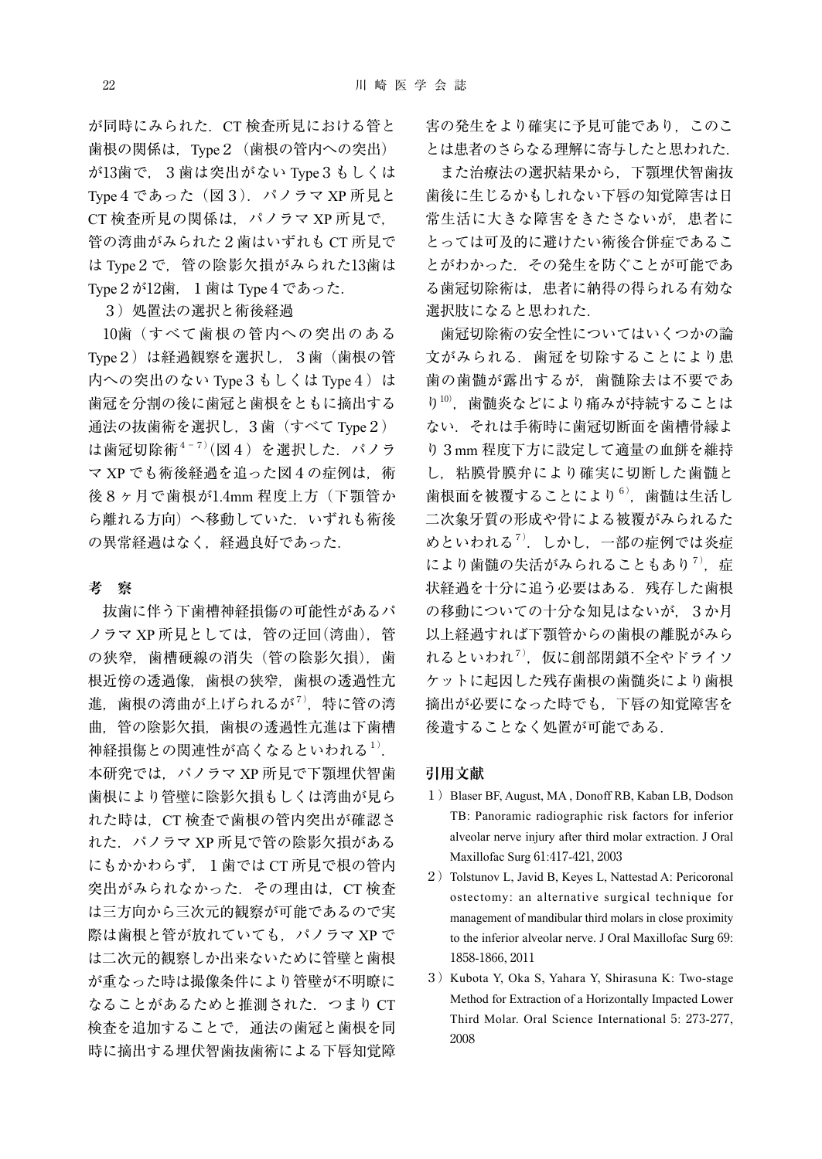が同時にみられた.CT 検査所見における管と 歯根の関係は、Type2 (歯根の管内への突出) が13歯で,3歯は突出がない Type3もしくは Type4であった(図3).パノラマ XP 所見と CT 検査所見の関係は、パノラマ XP 所見で, 管の湾曲がみられた2歯はいずれも CT 所見で は Type2で,管の陰影欠損がみられた13歯は Type2が12歯,1歯は Type4であった.

3)処置法の選択と術後経過

10歯(すべて歯根の管内への突出のある Type2)は経過観察を選択し,3歯(歯根の管 内への突出のない Type 3 もしくは Type 4) は 歯冠を分割の後に歯冠と歯根をともに摘出する 通法の抜歯術を選択し,3歯(すべて Type2) は歯冠切除術<sup>4-7)</sup>(図4) を選択した. パノラ マ XP でも術後経過を追った図4の症例は,術 後8ヶ月で歯根が1.4mm 程度上方(下顎管か ら離れる方向)へ移動していた.いずれも術後 の異常経過はなく、経過良好であった.

#### **考 察**

抜歯に伴う下歯槽神経損傷の可能性があるパ ノラマ XP 所見としては,管の迂回(湾曲),管 の狭窄, 歯槽硬線の消失(管の陰影欠損), 歯 根近傍の透過像,歯根の狭窄,歯根の透過性亢 進,歯根の湾曲が上げられるが<sup>7)</sup>,特に管の湾 曲,管の陰影欠損,歯根の透過性亢進は下歯槽 神経損傷との関連性が高くなるといわれる<sup>1)</sup>. 本研究では,パノラマ XP 所見で下顎埋伏智歯 歯根により管壁に陰影欠損もしくは湾曲が見ら れた時は,CT 検査で歯根の管内突出が確認さ れた.パノラマ XP 所見で管の陰影欠損がある にもかかわらず、1歯では CT 所見で根の管内 突出がみられなかった. その理由は、CT 検査 は三方向から三次元的観察が可能であるので実 際は歯根と管が放れていても、パノラマ XP で は二次元的観察しか出来ないために管壁と歯根 が重なった時は撮像条件により管壁が不明瞭に なることがあるためと推測された.つまり CT 検査を追加することで,通法の歯冠と歯根を同 時に摘出する埋伏智歯抜歯術による下唇知覚障 害の発生をより確実に予見可能であり,このこ とは患者のさらなる理解に寄与したと思われた.

また治療法の選択結果から,下顎埋伏智歯抜 歯後に生じるかもしれない下唇の知覚障害は日 常生活に大きな障害をきたさないが,患者に とっては可及的に避けたい術後合併症であるこ とがわかった.その発生を防ぐことが可能であ る歯冠切除術は,患者に納得の得られる有効な 選択肢になると思われた.

歯冠切除術の安全性についてはいくつかの論 文がみられる.歯冠を切除することにより患 歯の歯髄が露出するが,歯髄除去は不要であ り10), 歯髄炎などにより痛みが持続することは ない.それは手術時に歯冠切断面を歯槽骨縁よ り3mm 程度下方に設定して適量の血餅を維持 し,粘膜骨膜弁により確実に切断した歯髄と 歯根面を被覆することにより<sup>6)</sup>,歯髄は生活し 二次象牙質の形成や骨による被覆がみられるた めといわれる<sup>7)</sup>. しかし, 一部の症例では炎症 により歯髄の失活がみられることもあり<sup>7)</sup>, 症 状経過を十分に追う必要はある.残存した歯根 の移動についての十分な知見はないが、3か月 以上経過すれば下顎管からの歯根の離脱がみら れるといわれ $^{7)}$ ,仮に創部閉鎖不全やドライソ ケットに起因した残存歯根の歯髄炎により歯根 摘出が必要になった時でも,下唇の知覚障害を 後遺することなく処置が可能である.

#### **引用文献**

- 1) Blaser BF, August, MA, Donoff RB, Kaban LB, Dodson TB: Panoramic radiographic risk factors for inferior alveolar nerve injury after third molar extraction. J Oral Maxillofac Surg 61:417-421, 2003
- 2) Tolstunov L, Javid B, Keyes L, Nattestad A: Pericoronal ostectomy: an alternative surgical technique for management of mandibular third molars in close proximity to the inferior alveolar nerve. J Oral Maxillofac Surg 69: 1858-1866, 2011
- 3) Kubota Y, Oka S, Yahara Y, Shirasuna K: Two-stage Method for Extraction of a Horizontally Impacted Lower Third Molar. Oral Science International 5: 273-277, 2008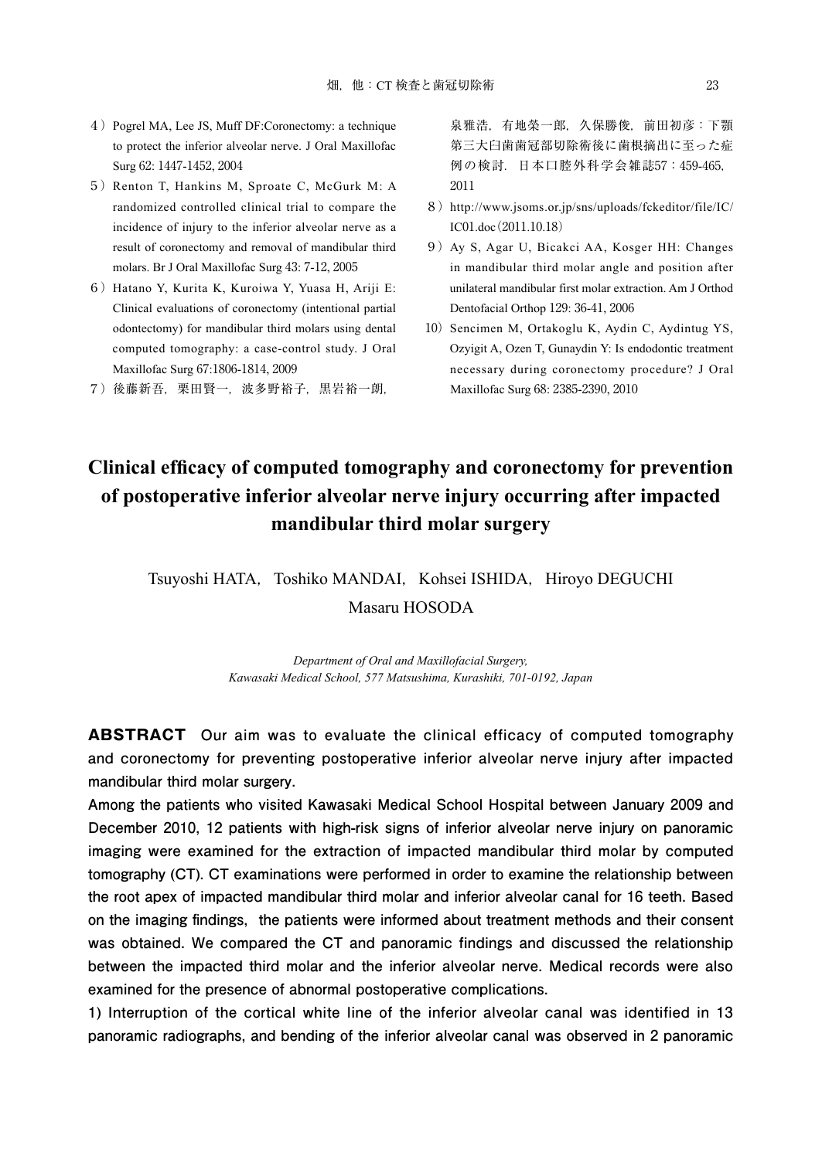- 4)Pogrel MA, Lee JS, Muff DF:Coronectomy: a technique to protect the inferior alveolar nerve. J Oral Maxillofac Surg 62: 1447-1452, 2004
- 5) Renton T, Hankins M, Sproate C, McGurk M: A randomized controlled clinical trial to compare the incidence of injury to the inferior alveolar nerve as a result of coronectomy and removal of mandibular third molars. Br J Oral Maxillofac Surg 43: 7-12, 2005
- 6) Hatano Y, Kurita K, Kuroiwa Y, Yuasa H, Ariji E: Clinical evaluations of coronectomy (intentional partial odontectomy) for mandibular third molars using dental computed tomography: a case-control study. J Oral Maxillofac Surg 67:1806-1814, 2009
- 7)後藤新吾,栗田賢一,波多野裕子,黒岩裕一朗,

泉雅浩,有地榮一郎,久保勝俊,前田初彦:下顎 第三大臼歯歯冠部切除術後に歯根摘出に至った症 例の検討.日本口腔外科学会雑誌57:459-465, 2011

- 8) http://www.jsoms.or.jp/sns/uploads/fckeditor/file/IC/ IC01.doc(2011.10.18)
- 9)Ay S, Agar U, Bicakci AA, Kosger HH: Changes in mandibular third molar angle and position after unilateral mandibular first molar extraction. Am J Orthod Dentofacial Orthop 129: 36-41, 2006
- 10) Sencimen M, Ortakoglu K, Aydin C, Aydintug YS, Ozyigit A, Ozen T, Gunaydin Y: Is endodontic treatment necessary during coronectomy procedure? J Oral Maxillofac Surg 68: 2385-2390, 2010

# **Clinical efficacy of computed tomography and coronectomy for prevention of postoperative inferior alveolar nerve injury occurring after impacted mandibular third molar surgery**

### Tsuyoshi HATA, Toshiko MANDAI, Kohsei ISHIDA, Hiroyo DEGUCHI Masaru HOSODA

*Department of Oral and Maxillofacial Surgery, Kawasaki Medical School, 577 Matsushima, Kurashiki, 701-0192, Japan*

**ABSTRACT Our aim was to evaluate the clinical efficacy of computed tomography and coronectomy for preventing postoperative inferior alveolar nerve injury after impacted mandibular third molar surgery.** 

**Among the patients who visited Kawasaki Medical School Hospital between January 2009 and December 2010, 12 patients with high-risk signs of inferior alveolar nerve injury on panoramic imaging were examined for the extraction of impacted mandibular third molar by computed tomography (CT). CT examinations were performed in order to examine the relationship between the root apex of impacted mandibular third molar and inferior alveolar canal for 16 teeth. Based**  on the imaging findings, the patients were informed about treatment methods and their consent **was obtained. We compared the CT and panoramic findings and discussed the relationship between the impacted third molar and the inferior alveolar nerve. Medical records were also examined for the presence of abnormal postoperative complications.**

**1) Interruption of the cortical white line of the inferior alveolar canal was identified in 13 panoramic radiographs, and bending of the inferior alveolar canal was observed in 2 panoramic**